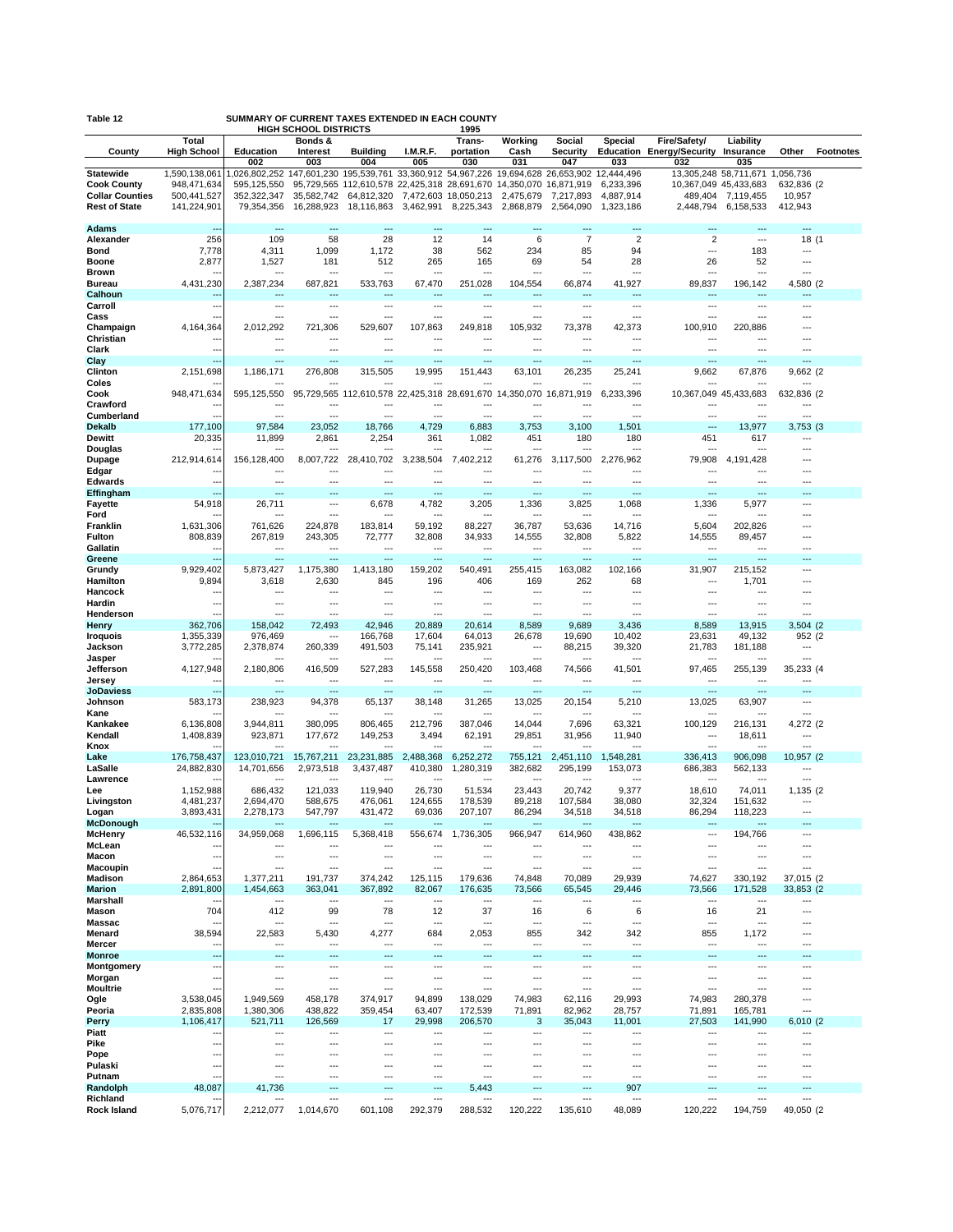| Table 12<br>SUMMARY OF CURRENT TAXES EXTENDED IN EACH COUNTY<br><b>HIGH SCHOOL DISTRICTS</b><br>1995 |                             |                           |                            |                                                                                |                         |                                   |                         |                           |                        |                                                         |                               |                                      |                  |
|------------------------------------------------------------------------------------------------------|-----------------------------|---------------------------|----------------------------|--------------------------------------------------------------------------------|-------------------------|-----------------------------------|-------------------------|---------------------------|------------------------|---------------------------------------------------------|-------------------------------|--------------------------------------|------------------|
| County                                                                                               | Total<br><b>High School</b> | Education<br>002          | Bonds &<br>Interest<br>003 | <b>Building</b><br>004                                                         | I.M.R.F.<br>005         | Trans-<br>portation<br>030        | Working<br>Cash<br>031  | Social<br>Security<br>047 | <b>Special</b><br>033  | Fire/Safety/<br><b>Education Energy/Security</b><br>032 | Liability<br>Insurance<br>035 | Other                                | <b>Footnotes</b> |
| <b>Statewide</b>                                                                                     | 1,590,138,061               | 1,026,802,252             |                            | 147,601,230 195,539,761 33,360,912 54,967,226 19,694,628 26,653,902 12,444,496 |                         |                                   |                         |                           |                        |                                                         | 13,305,248 58,711,671         | 1,056,736                            |                  |
| <b>Cook County</b>                                                                                   | 948,471,634                 | 595,125,550               |                            | 95,729,565 112,610,578 22,425,318 28,691,670 14,350,070 16,871,919             |                         |                                   |                         |                           | 6,233,396              |                                                         | 10,367,049 45,433,683         | 632,836 (2)                          |                  |
| <b>Collar Counties</b><br><b>Rest of State</b>                                                       | 500,441,527<br>141,224,901  | 352,322,347<br>79,354,356 | 35,582,742<br>16,288,923   | 64,812,320<br>18,116,863                                                       | 3,462,991               | 7,472,603 18,050,213<br>8,225,343 | 2,475,679<br>2,868,879  | 7,217,893<br>2,564,090    | 4,887,914<br>1,323,186 | 489,404<br>2,448,794                                    | 7,119,455<br>6,158,533        | 10,957<br>412,943                    |                  |
|                                                                                                      |                             |                           |                            |                                                                                |                         |                                   |                         |                           |                        |                                                         |                               |                                      |                  |
| <b>Adams</b>                                                                                         |                             |                           | ÷-                         | ---                                                                            |                         |                                   |                         |                           | ---                    | ---                                                     |                               | $\overline{a}$                       |                  |
| Alexander                                                                                            | 256                         | 109                       | 58                         | 28                                                                             | 12                      | 14                                | 6                       | $\overline{7}$            | $\overline{2}$         | $\overline{2}$                                          | $\overline{a}$                | 18 (1                                |                  |
| Bond<br><b>Boone</b>                                                                                 | 7,778<br>2,877              | 4,311<br>1,527            | 1,099<br>181               | 1,172<br>512                                                                   | 38<br>265               | 562<br>165                        | 234<br>69               | 85<br>54                  | 94<br>28               | $\overline{a}$<br>26                                    | 183<br>52                     | $\overline{\phantom{a}}$<br>---      |                  |
| <b>Brown</b>                                                                                         |                             |                           | -−-                        | ---                                                                            | ---                     |                                   | ---                     | ---                       | ÷÷.                    | ---                                                     | $\overline{a}$                | $\overline{a}$                       |                  |
| <b>Bureau</b>                                                                                        | 4,431,230                   | 2,387,234                 | 687,821                    | 533,763                                                                        | 67,470                  | 251,028                           | 104,554                 | 66,874                    | 41,927                 | 89,837                                                  | 196,142                       | 4,580 (2                             |                  |
| Calhoun                                                                                              |                             | $---$                     | ---                        | ---                                                                            | $\overline{a}$          | $---$                             | ---                     | $\overline{a}$            | ---                    | $\overline{a}$                                          | $---$                         | ---                                  |                  |
| Carroll<br>Cass                                                                                      | ۰.                          | ---                       | ---<br>…                   | ---<br>---                                                                     | ---<br>---              | ---<br>$\overline{a}$             | ---<br>---              | ---<br>---                | ---<br>---             | ---<br>$\overline{a}$                                   | ---<br>$\overline{a}$         | $\overline{a}$<br>---                |                  |
| Champaign                                                                                            | 4,164,364                   | 2,012,292                 | 721,306                    | 529,607                                                                        | 107,863                 | 249,818                           | 105,932                 | 73,378                    | 42,373                 | 100,910                                                 | 220,886                       | ---                                  |                  |
| Christian                                                                                            |                             | ---                       | ---                        | ---                                                                            | ---                     | ---                               | ---                     | ---                       | ---                    | $--$                                                    | ---                           | ---                                  |                  |
| Clark<br>Clay                                                                                        | ц,                          | ---                       | -−-<br>---                 | ---<br>                                                                        | ---                     | ---                               | ---<br>                 | ---                       | …                      | ---<br>-−∙                                              | ---                           | $\overline{a}$<br>---                |                  |
| Clinton                                                                                              | 2,151,698                   | 1,186,171                 | 276,808                    | 315,505                                                                        | 19,995                  | 151,443                           | 63,101                  | 26,235                    | 25,241                 | 9,662                                                   | 67,876                        | 9,662 (2                             |                  |
| Coles                                                                                                |                             |                           |                            |                                                                                |                         |                                   |                         |                           |                        |                                                         |                               |                                      |                  |
| Cook                                                                                                 | 948,471,634                 | 595,125,550               |                            | 95,729,565 112,610,578 22,425,318 28,691,670                                   |                         |                                   | 14,350,070              | 16,871,919                | 6,233,396              |                                                         | 10,367,049 45,433,683         | 632,836 (2                           |                  |
| Crawford<br>Cumberland                                                                               |                             | ---                       | …                          | ---                                                                            | ---                     |                                   | ---                     | ---                       | -−∙                    | ---                                                     | ---                           | ---                                  |                  |
| <b>Dekalb</b>                                                                                        | 177,100                     | 97,584                    | 23,052                     | 18,766                                                                         | 4,729                   | 6,883                             | 3,753                   | 3,100                     | 1,501                  | ---                                                     | 13,977                        | 3,753 (3                             |                  |
| Dewitt                                                                                               | 20,335                      | 11,899                    | 2,861                      | 2,254                                                                          | 361                     | 1,082                             | 451                     | 180                       | 180                    | 451                                                     | 617                           | ---                                  |                  |
| Douglas                                                                                              |                             |                           | ---<br>8,007,722           | 28,410,702                                                                     |                         | ---                               | 61,276                  |                           | ---<br>2.276.962       | ---                                                     | $\overline{a}$<br>4,191,428   | $\overline{a}$<br>---                |                  |
| Dupage<br>Edgar                                                                                      | 212,914,614                 | 156,128,400               | ÷÷.                        | ---                                                                            | 3,238,504               | 7,402,212                         |                         | 3,117,500<br>---          | ÷÷.                    | 79,908<br>---                                           |                               | $\overline{a}$                       |                  |
| <b>Edwards</b>                                                                                       |                             | ÷÷.                       |                            | ---                                                                            | $\overline{a}$          | ---                               | ---                     | ---                       | $\overline{a}$         | $\sim$                                                  | $\sim$                        | $\overline{a}$                       |                  |
| <b>Effingham</b>                                                                                     | $\overline{a}$              | ---                       | -−-<br>-−-                 | $\overline{a}$                                                                 | ---                     | ---                               | ---                     | ---                       | ---                    | $\overline{\phantom{a}}$                                | ---                           | ---<br>$\overline{a}$                |                  |
| <b>Fayette</b><br>Ford                                                                               | 54,918                      | 26,711                    | ---                        | 6,678<br>---                                                                   | 4,782<br>$\overline{a}$ | 3,205<br>$---$                    | 1,336<br>$\overline{a}$ | 3,825<br>$\overline{a}$   | 1,068<br>---           | 1,336<br>$\overline{a}$                                 | 5,977<br>$\overline{a}$       | $\overline{a}$                       |                  |
| Franklin                                                                                             | 1,631,306                   | 761,626                   | 224,878                    | 183,814                                                                        | 59,192                  | 88,227                            | 36,787                  | 53,636                    | 14,716                 | 5,604                                                   | 202,826                       | $\overline{a}$                       |                  |
| Fulton                                                                                               | 808,839                     | 267,819                   | 243,305                    | 72,777                                                                         | 32,808                  | 34,933                            | 14,555                  | 32,808                    | 5,822                  | 14,555                                                  | 89,457                        | ---                                  |                  |
| Gallatin<br>Greene                                                                                   | ٠.                          | ---<br>---                | -−-<br>---                 | ---<br>---                                                                     | ---<br>---              | ---<br>                           | ---<br>---              | ---<br>---                | <br>                   | ---<br>---                                              | $\overline{a}$<br>44          | $\sim$<br>$\overline{a}$             |                  |
| Grundy                                                                                               | 9,929,402                   | 5,873,427                 | 1,175,380                  | 1,413,180                                                                      | 159,202                 | 540,491                           | 255,415                 | 163,082                   | 102,166                | 31,907                                                  | 215,152                       | $\overline{\phantom{a}}$             |                  |
| Hamilton                                                                                             | 9,894                       | 3,618                     | 2,630                      | 845                                                                            | 196                     | 406                               | 169                     | 262                       | 68                     | $\overline{a}$                                          | 1,701                         | ---                                  |                  |
| Hancock                                                                                              |                             | $\overline{a}$            | ---                        | $\overline{a}$                                                                 | $\overline{a}$          | $\overline{a}$                    | $\overline{a}$          | ---                       | $\overline{a}$         | $\overline{a}$                                          | $\overline{a}$                | $\overline{a}$                       |                  |
| Hardin<br>Henderson                                                                                  |                             | ---<br>---                | …<br>…                     | ---<br>---                                                                     | ---<br>---              | ---<br>---                        | ---<br>---              | ---<br>---                | <br>                   | $\overline{\phantom{a}}$<br>$\overline{a}$              | $\overline{a}$<br>---         | ---<br>---                           |                  |
| Henry                                                                                                | 362,706                     | 158,042                   | 72,493                     | 42,946                                                                         | 20,889                  | 20,614                            | 8,589                   | 9,689                     | 3,436                  | 8,589                                                   | 13,915                        | 3,504(2)                             |                  |
| <b>Iroquois</b>                                                                                      | 1,355,339                   | 976,469                   | ---                        | 166,768                                                                        | 17,604                  | 64,013                            | 26,678                  | 19,690                    | 10,402                 | 23,631                                                  | 49,132                        | 952 (2                               |                  |
| Jackson                                                                                              | 3,772,285                   | 2,378,874                 | 260,339                    | 491,503                                                                        | 75,141                  | 235,921                           | ---<br>---              | 88,215                    | 39,320                 | 21,783                                                  | 181,188                       | $\overline{\phantom{a}}$<br>---      |                  |
| Jasper<br>Jefferson                                                                                  | 4,127,948                   | 2,180,806                 | 416,509                    | 527,283                                                                        | 145,558                 | 250,420                           | 103,468                 | 74,566                    | 41,501                 | 97,465                                                  | 255,139                       | 35,233 (4                            |                  |
| Jersey                                                                                               |                             |                           | ---                        | ---                                                                            | ---                     | ---                               | ---                     | ---                       | ---                    | ---                                                     |                               | $\overline{\phantom{a}}$             |                  |
| <b>JoDaviess</b>                                                                                     |                             |                           | ---                        | ---                                                                            | ---                     | ---                               | ---                     |                           | ÷.,                    | $\overline{a}$                                          | ---                           | $\overline{a}$<br>---                |                  |
| Johnson<br>Kane                                                                                      | 583,173                     | 238,923                   | 94,378                     | 65,137                                                                         | 38,148                  | 31,265                            | 13,025                  | 20,154                    | 5,210                  | 13,025                                                  | 63,907                        | ---                                  |                  |
| Kankakee                                                                                             | 6,136,808                   | 3,944,811                 | 380,095                    | 806,465                                                                        | 212,796                 | 387,046                           | 14,044                  | 7,696                     | 63,321                 | 100,129                                                 | 216,131                       | 4,272 (2                             |                  |
| Kendall                                                                                              | 1,408,839                   | 923,871                   | 177,672                    | 149,253                                                                        | 3,494                   | 62,191                            | 29,851                  | 31,956                    | 11,940                 | ---                                                     | 18,611                        | ---                                  |                  |
| Knox<br>Lake                                                                                         | 176,758,437                 | 123,010,721               | 15,767,211                 | 23,231,885                                                                     | 2,488,368               | 6,252,272                         | 755,121                 | 2,451,110                 | 1,548,281              | ---<br>336,413                                          | 906,098                       | ---<br>10,957 (2                     |                  |
| LaSalle                                                                                              | 24,882,830                  | 14,701,656                | 2,973,518                  | 3,437,487                                                                      | 410,380                 | 1,280,319                         | 382,682                 | 295,199                   | 153,073                | 686,383                                                 | 562,133                       | $\overline{\phantom{a}}$             |                  |
| Lawrence                                                                                             |                             |                           |                            |                                                                                |                         |                                   |                         |                           |                        |                                                         |                               | $\overline{a}$                       |                  |
| Lee                                                                                                  | 1,152,988<br>4,481,237      | 686,432                   | 121,033<br>588,675         | 119,940                                                                        | 26,730<br>124,655       | 51,534                            | 23,443                  | 20.742<br>107,584         | 9,377                  | 18,610<br>32,324                                        | 74,011                        | 1,135 (2<br>$\overline{\phantom{a}}$ |                  |
| Livingston<br>Logan                                                                                  | 3,893,431                   | 2,694,470<br>2,278.173    | 547.797                    | 476,061<br>431 472                                                             | 69.036                  | 178,539<br>207 107                | 89,218<br>86.294        | 34 518                    | 38,080<br>34.518       | 86.294                                                  | 151,632<br>118.223            |                                      |                  |
| McDonough                                                                                            |                             |                           |                            |                                                                                |                         |                                   |                         |                           |                        |                                                         |                               |                                      |                  |
| <b>McHenry</b><br>McLean                                                                             | 46,532,116                  | 34,959,068<br>---         | 1,696,115<br>…             | 5,368,418<br>---                                                               | 556,674<br>---          | 1,736,305<br>---                  | 966,947<br>---          | 614,960<br>---            | 438,862<br>---         | $\overline{\phantom{a}}$<br>$\overline{\phantom{a}}$    | 194,766<br>$\overline{a}$     | ---<br>$\overline{\phantom{a}}$      |                  |
| Macon                                                                                                | --                          | ---                       | ---                        | ---                                                                            | ---                     | ---                               | ---                     | ---                       | ---                    | ---                                                     | $\overline{a}$                | $\overline{a}$                       |                  |
| Macoupin                                                                                             | $\overline{a}$              | ---                       |                            | ---                                                                            | $\overline{a}$          | $\overline{a}$                    | ---                     | ---                       |                        | $\overline{a}$                                          | ---                           | $\overline{a}$                       |                  |
| <b>Madison</b>                                                                                       | 2,864,653                   | 1,377,211                 | 191,737                    | 374,242                                                                        | 125,115                 | 179,636                           | 74,848                  | 70,089                    | 29,939                 | 74,627                                                  | 330,192                       | 37,015 (2                            |                  |
| <b>Marion</b><br><b>Marshall</b>                                                                     | 2,891,800                   | 1,454,663                 | 363,041                    | 367,892<br>---                                                                 | 82,067                  | 176,635<br>---                    | 73,566<br>---           | 65,545<br>---             | 29,446                 | 73,566<br>---                                           | 171,528                       | 33,853 (2)<br>---                    |                  |
| Mason                                                                                                | 704                         | 412                       | 99                         | 78                                                                             | 12                      | 37                                | 16                      | 6                         | 6                      | 16                                                      | 21                            | $\overline{a}$                       |                  |
| <b>Massac</b>                                                                                        | ٠.                          | ---                       | ---                        | $\overline{a}$                                                                 | ---                     | ---                               | ---                     | ---                       | $\overline{a}$         | $\overline{a}$                                          | ---                           | $\overline{\phantom{a}}$             |                  |
| <b>Menard</b><br>Mercer                                                                              | 38,594<br>٠.                | 22,583<br>---             | 5,430<br>---               | 4,277<br>---                                                                   | 684<br>---              | 2,053<br>---                      | 855<br>---              | 342<br>---                | 342<br>---             | 855<br>---                                              | 1,172<br>---                  | ---<br>$\overline{a}$                |                  |
| <b>Monroe</b>                                                                                        |                             | ÷÷                        | -−-                        | ---                                                                            | ---                     | ---                               |                         | ---                       | ---                    | ---                                                     | $\overline{a}$                | $---$                                |                  |
| Montgomery                                                                                           |                             | ---                       | ---                        | ---                                                                            | ---                     | ---                               | ---                     | ---                       | ---                    | ---                                                     | ---                           | $---$                                |                  |
| Morgan                                                                                               | ٠.                          | ---                       | ---                        | ---                                                                            | ---                     | ---                               | ---                     | ---                       | -−-                    | ---                                                     | ---                           |                                      |                  |
| <b>Moultrie</b><br>Ogle                                                                              | 3,538,045                   | ---<br>1,949,569          | ---<br>458,178             | ---<br>374,917                                                                 | ---<br>94,899           | ---<br>138,029                    | ---<br>74,983           | ---<br>62,116             | ---<br>29,993          | $\overline{a}$<br>74,983                                | ---<br>280,378                | ---<br>$\overline{\phantom{a}}$      |                  |
| Peoria                                                                                               | 2,835,808                   | 1,380,306                 | 438,822                    | 359,454                                                                        | 63,407                  | 172,539                           | 71,891                  | 82,962                    | 28,757                 | 71,891                                                  | 165,781                       | $\overline{a}$                       |                  |
| Perry                                                                                                | 1,106,417                   | 521,711                   | 126,569                    | 17                                                                             | 29,998                  | 206,570                           | 3                       | 35,043                    | 11,001                 | 27,503                                                  | 141,990                       | 6,010 (2                             |                  |
| Piatt<br>Pike                                                                                        | ٠.                          | ---                       | ---                        | ---<br>---                                                                     | ---                     | ---                               | ---<br>---              | ---                       | ---                    | $\overline{\phantom{a}}$                                | ---                           | $\overline{\phantom{a}}$             |                  |
| Pope                                                                                                 | ٠.                          | ---                       | -−-                        | ---                                                                            |                         | ---                               | ---                     | ---                       | -−-                    | ---                                                     | ---                           | ---                                  |                  |
| Pulaski                                                                                              |                             |                           | ---                        | ---                                                                            | ---                     | ---                               | ---                     |                           | ---                    |                                                         | ---                           | ---                                  |                  |
| Putnam                                                                                               | --                          | ---                       | ---<br>…                   | ---<br>---                                                                     | ---<br>---              | $---$                             | ---<br>---              | ---                       | ---                    | $\overline{\phantom{a}}$                                | ---                           | $\overline{\phantom{a}}$<br>---      |                  |
| Randolph<br>Richland                                                                                 | 48,087                      | 41,736<br>---             |                            | ---                                                                            |                         | 5,443<br>---                      | ---                     | ---<br>---                | 907<br>---             | ---<br>---                                              | ---                           | ---                                  |                  |
| <b>Rock Island</b>                                                                                   | 5,076,717                   | 2,212,077                 | 1,014,670                  | 601,108                                                                        | 292,379                 | 288,532                           | 120,222                 | 135,610                   | 48,089                 | 120,222                                                 | 194,759                       | 49,050 (2                            |                  |